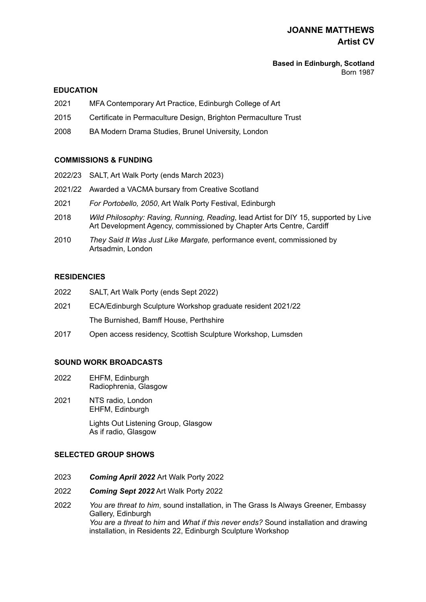# **JOANNE MATTHEWS Artist CV**

#### **Based in Edinburgh, Scotland**  Born 1987

## **EDUCATION**

- 2021 MFA Contemporary Art Practice, Edinburgh College of Art
- 2015 Certificate in Permaculture Design, Brighton Permaculture Trust
- 2008 BA Modern Drama Studies, Brunel University, London

## **COMMISSIONS & FUNDING**

- 2022/23 SALT, Art Walk Porty (ends March 2023)
- 2021/22 Awarded a VACMA bursary from Creative Scotland
- 2021 *For Portobello, 2050*, Art Walk Porty Festival, Edinburgh
- 2018 *Wild Philosophy: Raving, Running, Reading*, lead Artist for DIY 15, supported by Live Art Development Agency, commissioned by Chapter Arts Centre, Cardiff
- 2010 *They Said It Was Just Like Margate,* performance event, commissioned by Artsadmin, London

#### **RESIDENCIES**

- 2022 SALT, Art Walk Porty (ends Sept 2022)
- 2021 ECA/Edinburgh Sculpture Workshop graduate resident 2021/22 The Burnished, Bamff House, Perthshire
- 2017 Open access residency, Scottish Sculpture Workshop, Lumsden

#### **SOUND WORK BROADCASTS**

- 2022 EHFM, Edinburgh Radiophrenia, Glasgow
- 2021 NTS radio, London EHFM, Edinburgh

Lights Out Listening Group, Glasgow As if radio, Glasgow

#### **SELECTED GROUP SHOWS**

- 2023 *Coming April 2022* Art Walk Porty 2022
- 2022 *Coming Sept 2022* Art Walk Porty 2022
- 2022 *You are threat to him*, sound installation, in The Grass Is Always Greener, Embassy Gallery, Edinburgh *You are a threat to him* and *What if this never ends?* Sound installation and drawing installation, in Residents 22, Edinburgh Sculpture Workshop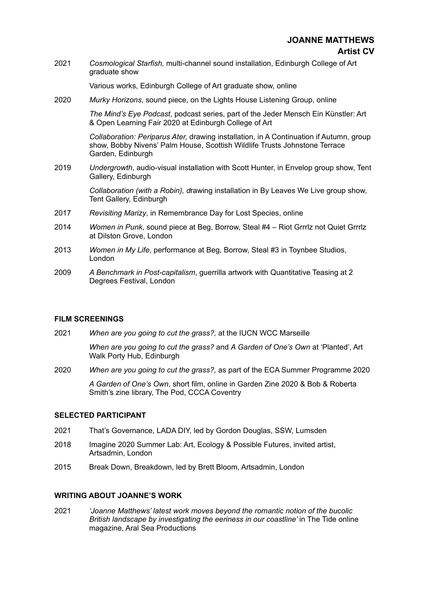2021 *Cosmological Starfish,* multi-channel sound installation, Edinburgh College of Art graduate show

Various works, Edinburgh College of Art graduate show, online

2020 *Murky Horizons*, sound piece, on the Lights House Listening Group, online

*The Mind's Eye Podcast*, podcast series, part of the Jeder Mensch Ein Künstler: Art & Open Learning Fair 2020 at Edinburgh College of Art

*Collaboration: Periparus Ater,* drawing installation, in A Continuation if Autumn, group show, Bobby Nivens' Palm House, Scottish Wildlife Trusts Johnstone Terrace Garden, Edinburgh

2019 *Undergrowth*, audio-visual installation with Scott Hunter, in Envelop group show, Tent Gallery, Edinburgh

> *Collaboration (with a Robin), d*rawing installation in By Leaves We Live group show, Tent Gallery, Edinburgh

- 2017 *Revisiting Marizy*, in Remembrance Day for Lost Species, online
- 2014 *Women in Punk*, sound piece at Beg, Borrow, Steal #4 Riot Grrrlz not Quiet Grrrlz at Dilston Grove, London
- 2013 *Women in My Life*, performance at Beg, Borrow, Steal #3 in Toynbee Studios, London
- 2009 *A Benchmark in Post-capitalism*, guerrilla artwork with Quantitative Teasing at 2 Degrees Festival, London

#### **FILM SCREENINGS**

2021 *When are you going to cut the grass?,* at the IUCN WCC Marseille

*When are you going to cut the grass?* and *A Garden of One's Own* at 'Planted', Art Walk Porty Hub, Edinburgh

2020 *When are you going to cut the grass?,* as part of the ECA Summer Programme 2020

*A Garden of One's Own*, short film, online in Garden Zine 2020 & Bob & Roberta Smith's zine library, The Pod, CCCA Coventry

#### **SELECTED PARTICIPANT**

- 2021 That's Governance, LADA DIY, led by Gordon Douglas, SSW, Lumsden
- 2018 Imagine 2020 Summer Lab: Art, Ecology & Possible Futures, invited artist, Artsadmin, London
- 2015 Break Down, Breakdown, led by Brett Bloom, Artsadmin, London

#### **WRITING ABOUT JOANNE'S WORK**

2021 *'Joanne Matthews' latest work moves beyond the romantic notion of the bucolic British landscape by investigating the eeriness in our coastline'* in The Tide online magazine, Aral Sea Productions